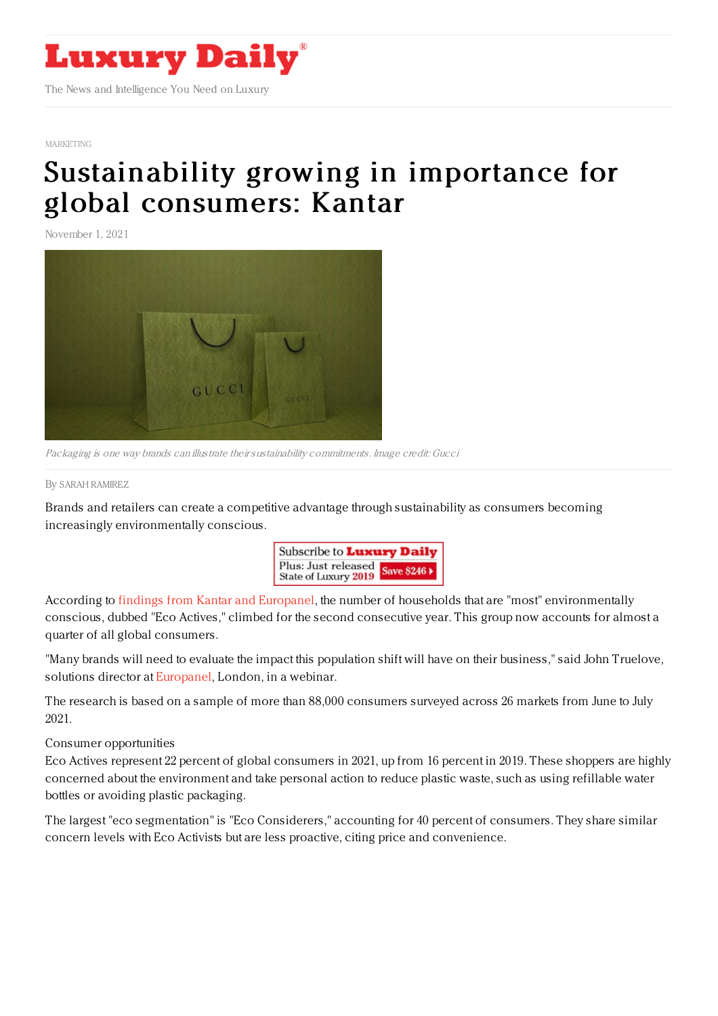

[MARKETING](https://www.luxurydaily.com/category/sectors/marketing-industry-sectors/)

## [Sustainability](https://www.luxurydaily.com/sustainability-growing-in-importance-for-global-consumers-kantar/) growing in importance for global consumers: Kantar

November 1, 2021



Packaging is one way brands can illustrate theirsustainability commitments. Image credit: Gucci

By SARAH [RAMIREZ](file:///author/sarah-ramirez)

Brands and retailers can create a competitive advantage through sustainability as consumers becoming increasingly environmentally conscious.



According to findings from Kantar and [Europanel](https://www.kantar.com/campaigns/who-cares-who-does-in-the-fmcg-industry), the number of households that are "most" environmentally conscious, dubbed "Eco Actives," climbed for the second consecutive year. This group now accounts for almost a quarter of all global consumers.

"Many brands will need to evaluate the impact this population shift will have on their business," said John Truelove, solutions director at [Europanel](https://www.europanel.com/), London, in a webinar.

The research is based on a sample of more than 88,000 consumers surveyed across 26 markets from June to July 2021.

Consumer opportunities

Eco Actives represent 22 percent of global consumers in 2021, up from 16 percent in 2019. These shoppers are highly concerned about the environment and take personal action to reduce plastic waste, such as using refillable water bottles or avoiding plastic packaging.

The largest "eco segmentation" is "Eco Considerers," accounting for 40 percent of consumers. They share similar concern levels with Eco Activists but are less proactive, citing price and convenience.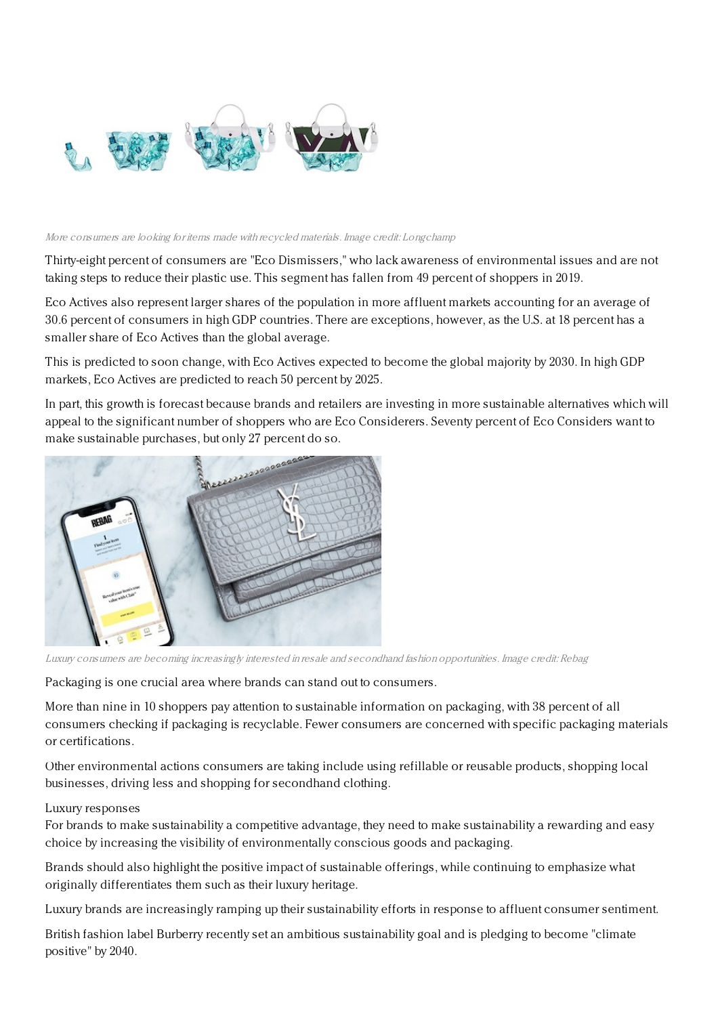

## More consumers are looking for items made with recycled materials. Image credit: Longchamp

Thirty-eight percent of consumers are "Eco Dismissers," who lack awareness of environmental issues and are not taking steps to reduce their plastic use. This segment has fallen from 49 percent of shoppers in 2019.

Eco Actives also represent larger shares of the population in more affluent markets accounting for an average of 30.6 percent of consumers in high GDP countries. There are exceptions, however, as the U.S. at 18 percent has a smaller share of Eco Actives than the global average.

This is predicted to soon change, with Eco Actives expected to become the global majority by 2030. In high GDP markets, Eco Actives are predicted to reach 50 percent by 2025.

In part, this growth is forecast because brands and retailers are investing in more sustainable alternatives which will appeal to the significant number of shoppers who are Eco Considerers. Seventy percent of Eco Considers want to make sustainable purchases, but only 27 percent do so.



Luxury consumers are becoming increasingly interested in resale and secondhand fashion opportunities. Image credit: Rebag

Packaging is one crucial area where brands can stand out to consumers.

More than nine in 10 shoppers pay attention to sustainable information on packaging, with 38 percent of all consumers checking if packaging is recyclable. Fewer consumers are concerned with specific packaging materials or certifications.

Other environmental actions consumers are taking include using refillable or reusable products, shopping local businesses, driving less and shopping for secondhand clothing.

## Luxury responses

For brands to make sustainability a competitive advantage, they need to make sustainability a rewarding and easy choice by increasing the visibility of environmentally conscious goods and packaging.

Brands should also highlight the positive impact of sustainable offerings, while continuing to emphasize what originally differentiates them such as their luxury heritage.

Luxury brands are increasingly ramping up their sustainability efforts in response to affluent consumer sentiment.

British fashion label Burberry recently set an ambitious sustainability goal and is pledging to become "climate positive" by 2040.